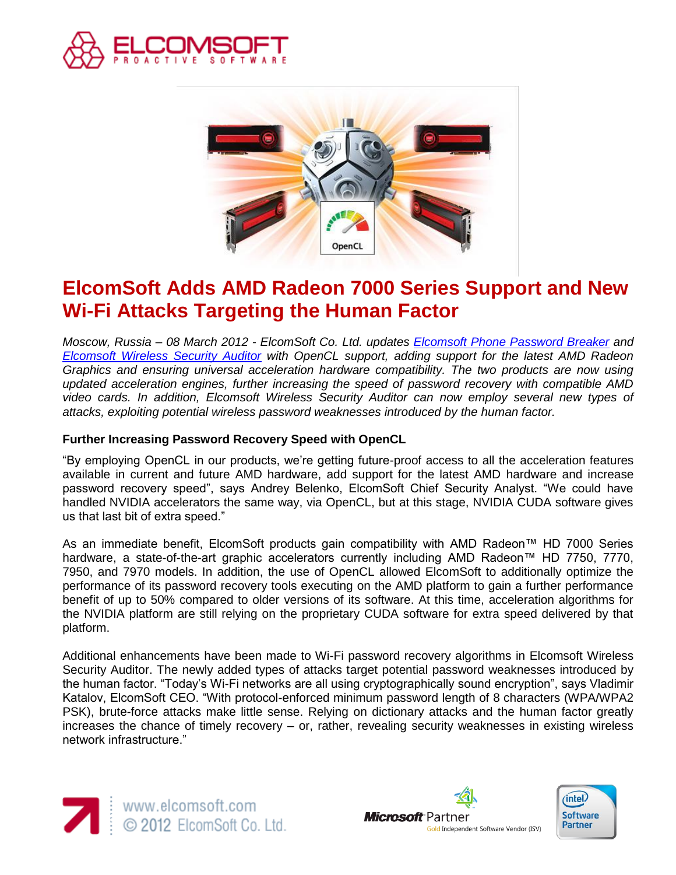



# **ElcomSoft Adds AMD Radeon 7000 Series Support and New Wi-Fi Attacks Targeting the Human Factor**

*Moscow, Russia – 08 March 2012 - ElcomSoft Co. Ltd. updates [Elcomsoft Phone Password Breaker](http://www.elcomsoft.com/eppb.html) and [Elcomsoft Wireless Security Auditor](http://www.elcomsoft.com/ewsa.html) with OpenCL support, adding support for the latest AMD Radeon Graphics and ensuring universal acceleration hardware compatibility. The two products are now using updated acceleration engines, further increasing the speed of password recovery with compatible AMD video cards. In addition, Elcomsoft Wireless Security Auditor can now employ several new types of attacks, exploiting potential wireless password weaknesses introduced by the human factor.*

## **Further Increasing Password Recovery Speed with OpenCL**

"By employing OpenCL in our products, we're getting future-proof access to all the acceleration features available in current and future AMD hardware, add support for the latest AMD hardware and increase password recovery speed", says Andrey Belenko, ElcomSoft Chief Security Analyst. "We could have handled NVIDIA accelerators the same way, via OpenCL, but at this stage, NVIDIA CUDA software gives us that last bit of extra speed."

As an immediate benefit, ElcomSoft products gain compatibility with AMD Radeon™ HD 7000 Series hardware, a state-of-the-art graphic accelerators currently including AMD Radeon™ HD 7750, 7770, 7950, and 7970 models. In addition, the use of OpenCL allowed ElcomSoft to additionally optimize the performance of its password recovery tools executing on the AMD platform to gain a further performance benefit of up to 50% compared to older versions of its software. At this time, acceleration algorithms for the NVIDIA platform are still relying on the proprietary CUDA software for extra speed delivered by that platform.

Additional enhancements have been made to Wi-Fi password recovery algorithms in Elcomsoft Wireless Security Auditor. The newly added types of attacks target potential password weaknesses introduced by the human factor. "Today's Wi-Fi networks are all using cryptographically sound encryption", says Vladimir Katalov, ElcomSoft CEO. "With protocol-enforced minimum password length of 8 characters (WPA/WPA2 PSK), brute-force attacks make little sense. Relying on dictionary attacks and the human factor greatly increases the chance of timely recovery – or, rather, revealing security weaknesses in existing wireless network infrastructure."